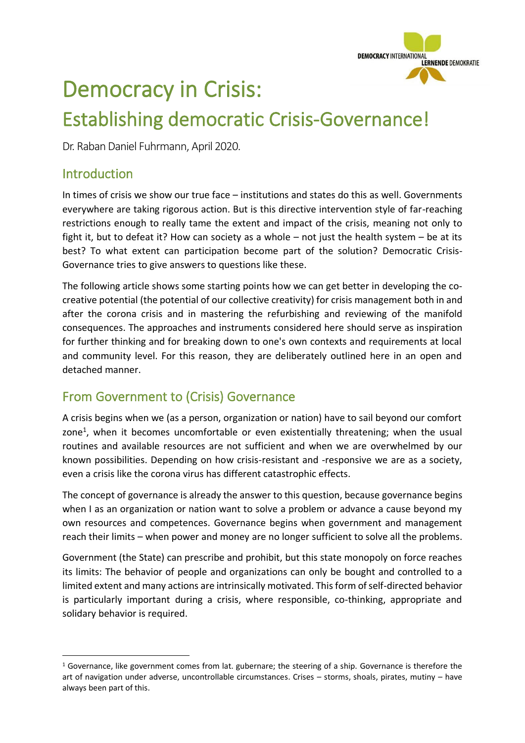

# Democracy in Crisis: Establishing democratic Crisis-Governance!

Dr. Raban Daniel Fuhrmann, April 2020.

# Introduction

In times of crisis we show our true face – institutions and states do this as well. Governments everywhere are taking rigorous action. But is this directive intervention style of far-reaching restrictions enough to really tame the extent and impact of the crisis, meaning not only to fight it, but to defeat it? How can society as a whole – not just the health system – be at its best? To what extent can participation become part of the solution? Democratic Crisis-Governance tries to give answers to questions like these.

The following article shows some starting points how we can get better in developing the cocreative potential (the potential of our collective creativity) for crisis management both in and after the corona crisis and in mastering the refurbishing and reviewing of the manifold consequences. The approaches and instruments considered here should serve as inspiration for further thinking and for breaking down to one's own contexts and requirements at local and community level. For this reason, they are deliberately outlined here in an open and detached manner.

# From Government to (Crisis) Governance

A crisis begins when we (as a person, organization or nation) have to sail beyond our comfort zone<sup>1</sup>, when it becomes uncomfortable or even existentially threatening; when the usual routines and available resources are not sufficient and when we are overwhelmed by our known possibilities. Depending on how crisis-resistant and -responsive we are as a society, even a crisis like the corona virus has different catastrophic effects.

The concept of governance is already the answer to this question, because governance begins when I as an organization or nation want to solve a problem or advance a cause beyond my own resources and competences. Governance begins when government and management reach their limits – when power and money are no longer sufficient to solve all the problems.

Government (the State) can prescribe and prohibit, but this state monopoly on force reaches its limits: The behavior of people and organizations can only be bought and controlled to a limited extent and many actions are intrinsically motivated. This form of self-directed behavior is particularly important during a crisis, where responsible, co-thinking, appropriate and solidary behavior is required.

 $1$  Governance, like government comes from lat, gubernare; the steering of a ship. Governance is therefore the art of navigation under adverse, uncontrollable circumstances. Crises – storms, shoals, pirates, mutiny – have always been part of this.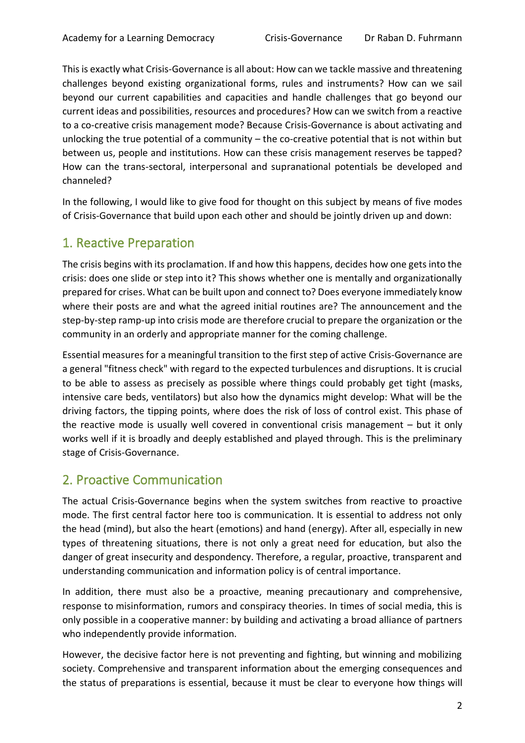This is exactly what Crisis-Governance is all about: How can we tackle massive and threatening challenges beyond existing organizational forms, rules and instruments? How can we sail beyond our current capabilities and capacities and handle challenges that go beyond our current ideas and possibilities, resources and procedures? How can we switch from a reactive to a co-creative crisis management mode? Because Crisis-Governance is about activating and unlocking the true potential of a community – the co-creative potential that is not within but between us, people and institutions. How can these crisis management reserves be tapped? How can the trans-sectoral, interpersonal and supranational potentials be developed and channeled?

In the following, I would like to give food for thought on this subject by means of five modes of Crisis-Governance that build upon each other and should be jointly driven up and down:

# 1. Reactive Preparation

The crisis begins with its proclamation. If and how this happens, decides how one gets into the crisis: does one slide or step into it? This shows whether one is mentally and organizationally prepared for crises. What can be built upon and connect to? Does everyone immediately know where their posts are and what the agreed initial routines are? The announcement and the step-by-step ramp-up into crisis mode are therefore crucial to prepare the organization or the community in an orderly and appropriate manner for the coming challenge.

Essential measures for a meaningful transition to the first step of active Crisis-Governance are a general "fitness check" with regard to the expected turbulences and disruptions. It is crucial to be able to assess as precisely as possible where things could probably get tight (masks, intensive care beds, ventilators) but also how the dynamics might develop: What will be the driving factors, the tipping points, where does the risk of loss of control exist. This phase of the reactive mode is usually well covered in conventional crisis management – but it only works well if it is broadly and deeply established and played through. This is the preliminary stage of Crisis-Governance.

## 2. Proactive Communication

The actual Crisis-Governance begins when the system switches from reactive to proactive mode. The first central factor here too is communication. It is essential to address not only the head (mind), but also the heart (emotions) and hand (energy). After all, especially in new types of threatening situations, there is not only a great need for education, but also the danger of great insecurity and despondency. Therefore, a regular, proactive, transparent and understanding communication and information policy is of central importance.

In addition, there must also be a proactive, meaning precautionary and comprehensive, response to misinformation, rumors and conspiracy theories. In times of social media, this is only possible in a cooperative manner: by building and activating a broad alliance of partners who independently provide information.

However, the decisive factor here is not preventing and fighting, but winning and mobilizing society. Comprehensive and transparent information about the emerging consequences and the status of preparations is essential, because it must be clear to everyone how things will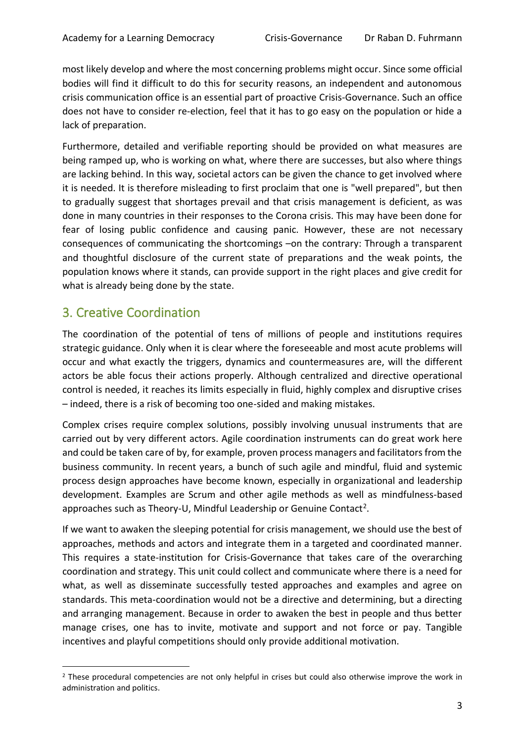most likely develop and where the most concerning problems might occur. Since some official bodies will find it difficult to do this for security reasons, an independent and autonomous crisis communication office is an essential part of proactive Crisis-Governance. Such an office does not have to consider re-election, feel that it has to go easy on the population or hide a lack of preparation.

Furthermore, detailed and verifiable reporting should be provided on what measures are being ramped up, who is working on what, where there are successes, but also where things are lacking behind. In this way, societal actors can be given the chance to get involved where it is needed. It is therefore misleading to first proclaim that one is "well prepared", but then to gradually suggest that shortages prevail and that crisis management is deficient, as was done in many countries in their responses to the Corona crisis. This may have been done for fear of losing public confidence and causing panic. However, these are not necessary consequences of communicating the shortcomings –on the contrary: Through a transparent and thoughtful disclosure of the current state of preparations and the weak points, the population knows where it stands, can provide support in the right places and give credit for what is already being done by the state.

## 3. Creative Coordination

The coordination of the potential of tens of millions of people and institutions requires strategic guidance. Only when it is clear where the foreseeable and most acute problems will occur and what exactly the triggers, dynamics and countermeasures are, will the different actors be able focus their actions properly. Although centralized and directive operational control is needed, it reaches its limits especially in fluid, highly complex and disruptive crises – indeed, there is a risk of becoming too one-sided and making mistakes.

Complex crises require complex solutions, possibly involving unusual instruments that are carried out by very different actors. Agile coordination instruments can do great work here and could be taken care of by, for example, proven process managers and facilitators from the business community. In recent years, a bunch of such agile and mindful, fluid and systemic process design approaches have become known, especially in organizational and leadership development. Examples are Scrum and other agile methods as well as mindfulness-based approaches such as Theory-U, Mindful Leadership or Genuine Contact<sup>2</sup>.

If we want to awaken the sleeping potential for crisis management, we should use the best of approaches, methods and actors and integrate them in a targeted and coordinated manner. This requires a state-institution for Crisis-Governance that takes care of the overarching coordination and strategy. This unit could collect and communicate where there is a need for what, as well as disseminate successfully tested approaches and examples and agree on standards. This meta-coordination would not be a directive and determining, but a directing and arranging management. Because in order to awaken the best in people and thus better manage crises, one has to invite, motivate and support and not force or pay. Tangible incentives and playful competitions should only provide additional motivation.

<sup>&</sup>lt;sup>2</sup> These procedural competencies are not only helpful in crises but could also otherwise improve the work in administration and politics.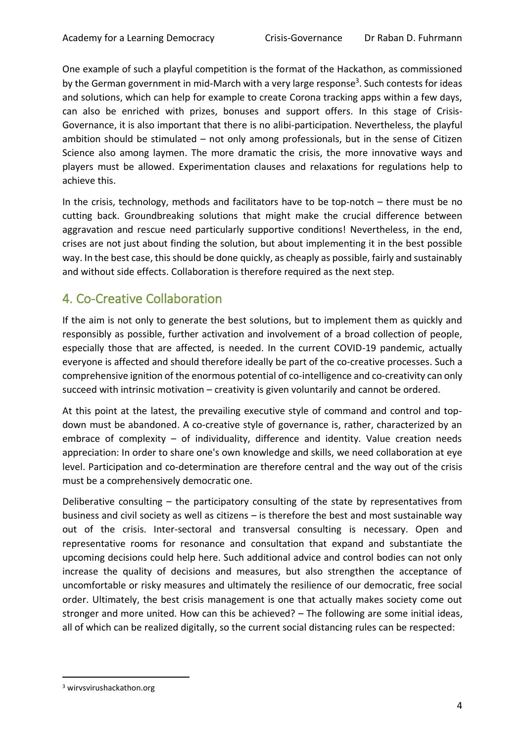One example of such a playful competition is the format of the Hackathon, as commissioned by the German government in mid-March with a very large response<sup>3</sup>. Such contests for ideas and solutions, which can help for example to create Corona tracking apps within a few days, can also be enriched with prizes, bonuses and support offers. In this stage of Crisis-Governance, it is also important that there is no alibi-participation. Nevertheless, the playful ambition should be stimulated – not only among professionals, but in the sense of Citizen Science also among laymen. The more dramatic the crisis, the more innovative ways and players must be allowed. Experimentation clauses and relaxations for regulations help to achieve this.

In the crisis, technology, methods and facilitators have to be top-notch – there must be no cutting back. Groundbreaking solutions that might make the crucial difference between aggravation and rescue need particularly supportive conditions! Nevertheless, in the end, crises are not just about finding the solution, but about implementing it in the best possible way. In the best case, this should be done quickly, as cheaply as possible, fairly and sustainably and without side effects. Collaboration is therefore required as the next step.

# 4. Co-Creative Collaboration

If the aim is not only to generate the best solutions, but to implement them as quickly and responsibly as possible, further activation and involvement of a broad collection of people, especially those that are affected, is needed. In the current COVID-19 pandemic, actually everyone is affected and should therefore ideally be part of the co-creative processes. Such a comprehensive ignition of the enormous potential of co-intelligence and co-creativity can only succeed with intrinsic motivation – creativity is given voluntarily and cannot be ordered.

At this point at the latest, the prevailing executive style of command and control and topdown must be abandoned. A co-creative style of governance is, rather, characterized by an embrace of complexity – of individuality, difference and identity. Value creation needs appreciation: In order to share one's own knowledge and skills, we need collaboration at eye level. Participation and co-determination are therefore central and the way out of the crisis must be a comprehensively democratic one.

Deliberative consulting – the participatory consulting of the state by representatives from business and civil society as well as citizens – is therefore the best and most sustainable way out of the crisis. Inter-sectoral and transversal consulting is necessary. Open and representative rooms for resonance and consultation that expand and substantiate the upcoming decisions could help here. Such additional advice and control bodies can not only increase the quality of decisions and measures, but also strengthen the acceptance of uncomfortable or risky measures and ultimately the resilience of our democratic, free social order. Ultimately, the best crisis management is one that actually makes society come out stronger and more united. How can this be achieved? – The following are some initial ideas, all of which can be realized digitally, so the current social distancing rules can be respected:

<sup>3</sup> wirvsvirushackathon.org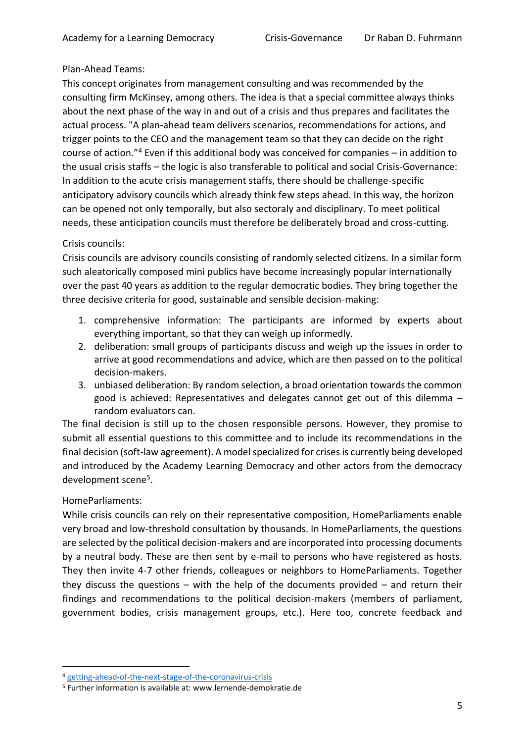## Plan-Ahead Teams:

This concept originates from management consulting and was recommended by the consulting firm McKinsey, among others. The idea is that a special committee always thinks about the next phase of the way in and out of a crisis and thus prepares and facilitates the actual process. "A plan-ahead team delivers scenarios, recommendations for actions, and trigger points to the CEO and the management team so that they can decide on the right course of action."<sup>4</sup> Even if this additional body was conceived for companies – in addition to the usual crisis staffs – the logic is also transferable to political and social Crisis-Governance: In addition to the acute crisis management staffs, there should be challenge-specific anticipatory advisory councils which already think few steps ahead. In this way, the horizon can be opened not only temporally, but also sectoraly and disciplinary. To meet political needs, these anticipation councils must therefore be deliberately broad and cross-cutting.

## Crisis councils:

Crisis councils are advisory councils consisting of randomly selected citizens. In a similar form such aleatorically composed mini publics have become increasingly popular internationally over the past 40 years as addition to the regular democratic bodies. They bring together the three decisive criteria for good, sustainable and sensible decision-making:

- 1. comprehensive information: The participants are informed by experts about everything important, so that they can weigh up informedly.
- 2. deliberation: small groups of participants discuss and weigh up the issues in order to arrive at good recommendations and advice, which are then passed on to the political decision-makers.
- 3. unbiased deliberation: By random selection, a broad orientation towards the common good is achieved: Representatives and delegates cannot get out of this dilemma – random evaluators can.

The final decision is still up to the chosen responsible persons. However, they promise to submit all essential questions to this committee and to include its recommendations in the final decision (soft-law agreement). A model specialized for crises is currently being developed and introduced by the Academy Learning Democracy and other actors from the democracy development scene<sup>5</sup>.

## HomeParliaments:

While crisis councils can rely on their representative composition, HomeParliaments enable very broad and low-threshold consultation by thousands. In HomeParliaments, the questions are selected by the political decision-makers and are incorporated into processing documents by a neutral body. These are then sent by e-mail to persons who have registered as hosts. They then invite 4-7 other friends, colleagues or neighbors to HomeParliaments. Together they discuss the questions – with the help of the documents provided – and return their findings and recommendations to the political decision-makers (members of parliament, government bodies, crisis management groups, etc.). Here too, concrete feedback and

<sup>4</sup> [getting-ahead-of-the-next-stage-of-the-coronavirus-crisis](https://www.mckinsey.com/business-functions/strategy-and-corporate-finance/our-insights/getting-ahead-of-the-next-stage-of-the-coronavirus-crisis)

<sup>5</sup> Further information is available at: www.lernende-demokratie.de